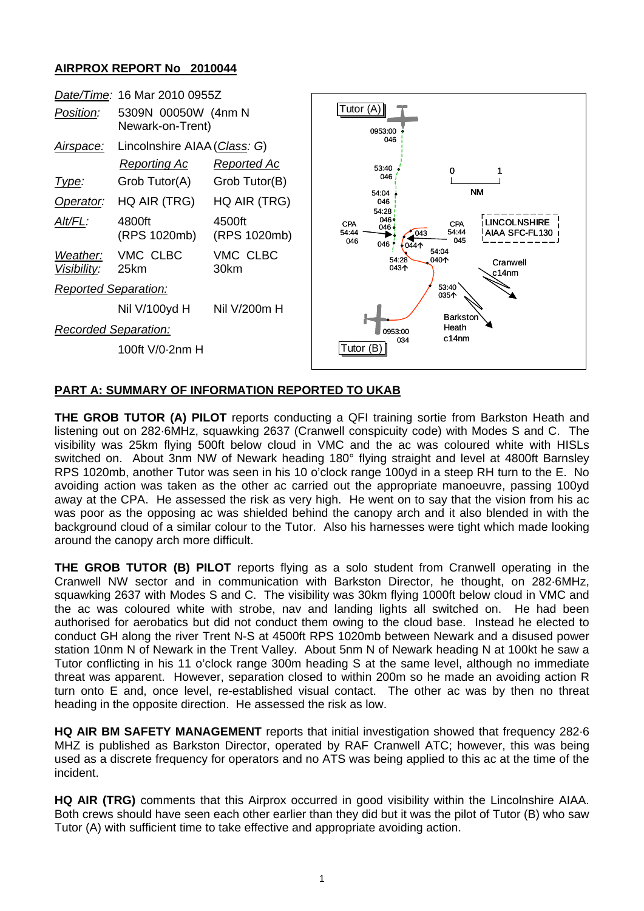## **AIRPROX REPORT No 2010044**



## **PART A: SUMMARY OF INFORMATION REPORTED TO UKAB**

**THE GROB TUTOR (A) PILOT** reports conducting a QFI training sortie from Barkston Heath and listening out on 282·6MHz, squawking 2637 (Cranwell conspicuity code) with Modes S and C. The visibility was 25km flying 500ft below cloud in VMC and the ac was coloured white with HISLs switched on. About 3nm NW of Newark heading 180° flying straight and level at 4800ft Barnsley RPS 1020mb, another Tutor was seen in his 10 o'clock range 100yd in a steep RH turn to the E. No avoiding action was taken as the other ac carried out the appropriate manoeuvre, passing 100yd away at the CPA. He assessed the risk as very high. He went on to say that the vision from his ac was poor as the opposing ac was shielded behind the canopy arch and it also blended in with the background cloud of a similar colour to the Tutor. Also his harnesses were tight which made looking around the canopy arch more difficult.

**THE GROB TUTOR (B) PILOT** reports flying as a solo student from Cranwell operating in the Cranwell NW sector and in communication with Barkston Director, he thought, on 282·6MHz, squawking 2637 with Modes S and C. The visibility was 30km flying 1000ft below cloud in VMC and the ac was coloured white with strobe, nav and landing lights all switched on. He had been authorised for aerobatics but did not conduct them owing to the cloud base. Instead he elected to conduct GH along the river Trent N-S at 4500ft RPS 1020mb between Newark and a disused power station 10nm N of Newark in the Trent Valley. About 5nm N of Newark heading N at 100kt he saw a Tutor conflicting in his 11 o'clock range 300m heading S at the same level, although no immediate threat was apparent. However, separation closed to within 200m so he made an avoiding action R turn onto E and, once level, re-established visual contact. The other ac was by then no threat heading in the opposite direction. He assessed the risk as low.

**HQ AIR BM SAFETY MANAGEMENT** reports that initial investigation showed that frequency 282·6 MHZ is published as Barkston Director, operated by RAF Cranwell ATC; however, this was being used as a discrete frequency for operators and no ATS was being applied to this ac at the time of the incident.

**HQ AIR (TRG)** comments that this Airprox occurred in good visibility within the Lincolnshire AIAA. Both crews should have seen each other earlier than they did but it was the pilot of Tutor (B) who saw Tutor (A) with sufficient time to take effective and appropriate avoiding action.